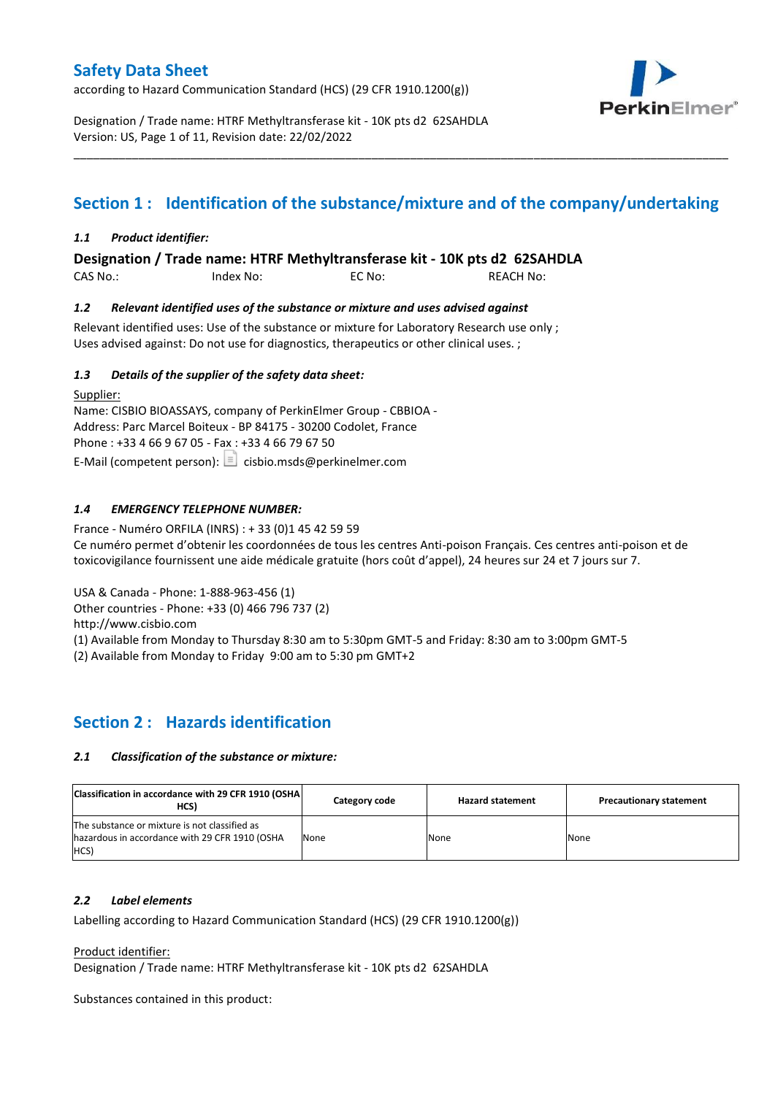according to Hazard Communication Standard (HCS) (29 CFR 1910.1200(g))



Designation / Trade name: HTRF Methyltransferase kit - 10K pts d2 62SAHDLA Version: US, Page 1 of 11, Revision date: 22/02/2022

# **Section 1 : Identification of the substance/mixture and of the company/undertaking**

\_\_\_\_\_\_\_\_\_\_\_\_\_\_\_\_\_\_\_\_\_\_\_\_\_\_\_\_\_\_\_\_\_\_\_\_\_\_\_\_\_\_\_\_\_\_\_\_\_\_\_\_\_\_\_\_\_\_\_\_\_\_\_\_\_\_\_\_\_\_\_\_\_\_\_\_\_\_\_\_\_\_\_\_\_\_\_\_\_\_\_\_\_\_\_\_\_\_\_\_\_

### *1.1 Product identifier:*

**Designation / Trade name: HTRF Methyltransferase kit - 10K pts d2 62SAHDLA** 

CAS No.: Index No: EC No: REACH No:

### *1.2 Relevant identified uses of the substance or mixture and uses advised against*

Relevant identified uses: Use of the substance or mixture for Laboratory Research use only ; Uses advised against: Do not use for diagnostics, therapeutics or other clinical uses. ;

### *1.3 Details of the supplier of the safety data sheet:*

Supplier: Name: CISBIO BIOASSAYS, company of PerkinElmer Group - CBBIOA - Address: Parc Marcel Boiteux - BP 84175 - 30200 Codolet, France Phone : +33 4 66 9 67 05 - Fax : +33 4 66 79 67 50 E-Mail (competent person):  $\boxed{\equiv}$  cisbio.msds@perkinelmer.com

### *1.4 EMERGENCY TELEPHONE NUMBER:*

France - Numéro ORFILA (INRS) : + 33 (0)1 45 42 59 59 Ce numéro permet d'obtenir les coordonnées de tous les centres Anti-poison Français. Ces centres anti-poison et de toxicovigilance fournissent une aide médicale gratuite (hors coût d'appel), 24 heures sur 24 et 7 jours sur 7.

USA & Canada - Phone: 1-888-963-456 (1)

Other countries - Phone: +33 (0) 466 796 737 (2)

http://www.cisbio.com

(1) Available from Monday to Thursday 8:30 am to 5:30pm GMT-5 and Friday: 8:30 am to 3:00pm GMT-5

(2) Available from Monday to Friday 9:00 am to 5:30 pm GMT+2

# **Section 2 : Hazards identification**

### *2.1 Classification of the substance or mixture:*

| Classification in accordance with 29 CFR 1910 (OSHA)<br>HCS)                                            | Category code | <b>Hazard statement</b> | <b>Precautionary statement</b> |
|---------------------------------------------------------------------------------------------------------|---------------|-------------------------|--------------------------------|
| The substance or mixture is not classified as<br>hazardous in accordance with 29 CFR 1910 (OSHA<br>HCS) | None          | None                    | None                           |

#### *2.2 Label elements*

Labelling according to Hazard Communication Standard (HCS) (29 CFR 1910.1200(g))

Product identifier:

Designation / Trade name: HTRF Methyltransferase kit - 10K pts d2 62SAHDLA

Substances contained in this product: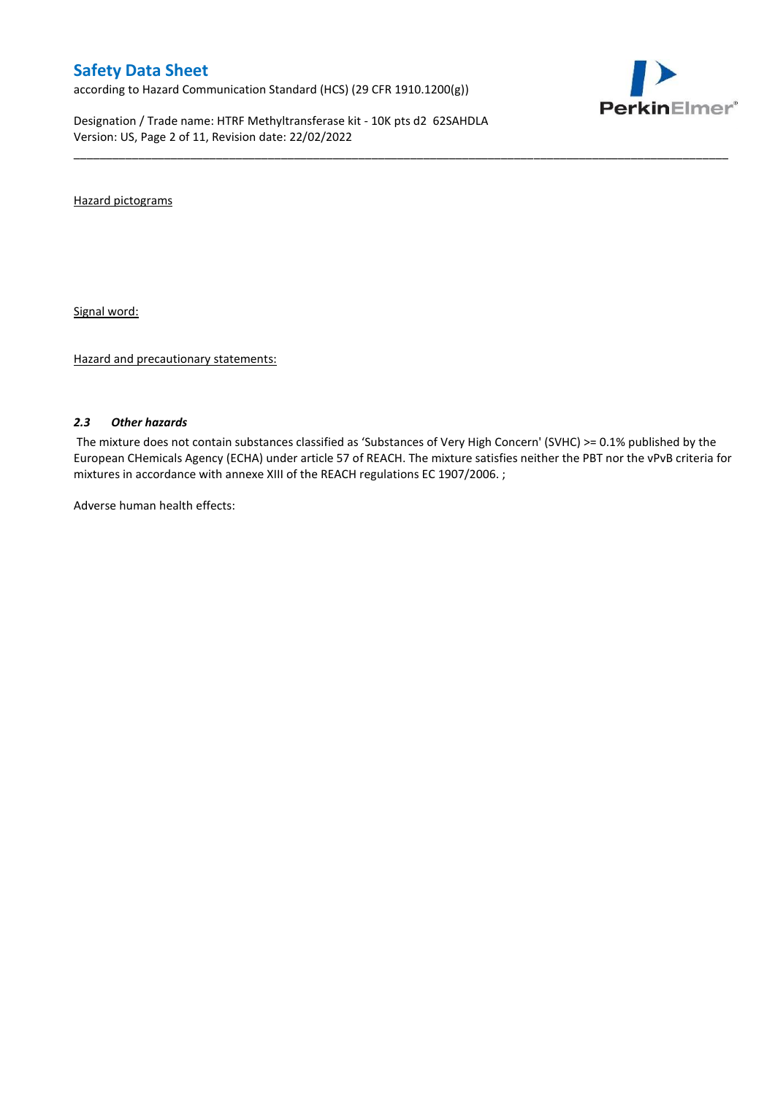according to Hazard Communication Standard (HCS) (29 CFR 1910.1200(g))

Designation / Trade name: HTRF Methyltransferase kit - 10K pts d2 62SAHDLA Version: US, Page 2 of 11, Revision date: 22/02/2022



Hazard pictograms

Signal word:

Hazard and precautionary statements:

#### *2.3 Other hazards*

The mixture does not contain substances classified as 'Substances of Very High Concern' (SVHC) >= 0.1% published by the European CHemicals Agency (ECHA) under article 57 of REACH. The mixture satisfies neither the PBT nor the vPvB criteria for mixtures in accordance with annexe XIII of the REACH regulations EC 1907/2006. ;

\_\_\_\_\_\_\_\_\_\_\_\_\_\_\_\_\_\_\_\_\_\_\_\_\_\_\_\_\_\_\_\_\_\_\_\_\_\_\_\_\_\_\_\_\_\_\_\_\_\_\_\_\_\_\_\_\_\_\_\_\_\_\_\_\_\_\_\_\_\_\_\_\_\_\_\_\_\_\_\_\_\_\_\_\_\_\_\_\_\_\_\_\_\_\_\_\_\_\_\_\_

Adverse human health effects: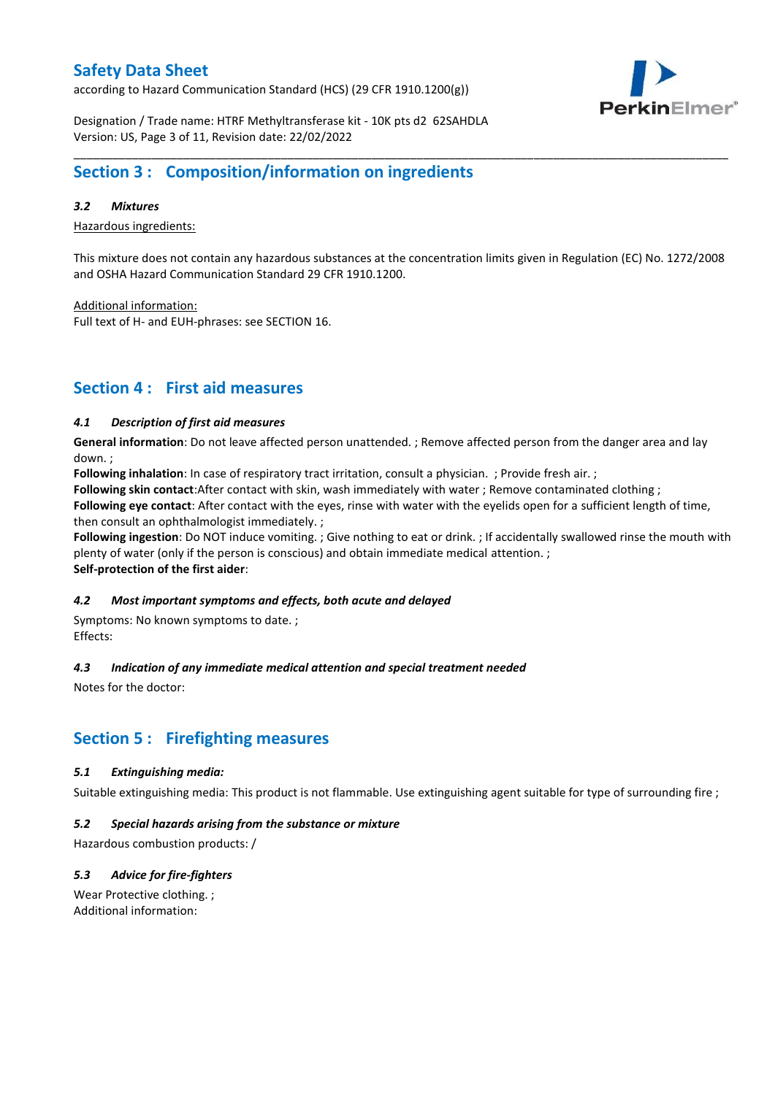according to Hazard Communication Standard (HCS) (29 CFR 1910.1200(g))



Designation / Trade name: HTRF Methyltransferase kit - 10K pts d2 62SAHDLA Version: US, Page 3 of 11, Revision date: 22/02/2022

# **Section 3 : Composition/information on ingredients**

#### *3.2 Mixtures*

Hazardous ingredients:

This mixture does not contain any hazardous substances at the concentration limits given in Regulation (EC) No. 1272/2008 and OSHA Hazard Communication Standard 29 CFR 1910.1200.

\_\_\_\_\_\_\_\_\_\_\_\_\_\_\_\_\_\_\_\_\_\_\_\_\_\_\_\_\_\_\_\_\_\_\_\_\_\_\_\_\_\_\_\_\_\_\_\_\_\_\_\_\_\_\_\_\_\_\_\_\_\_\_\_\_\_\_\_\_\_\_\_\_\_\_\_\_\_\_\_\_\_\_\_\_\_\_\_\_\_\_\_\_\_\_\_\_\_\_\_\_

Additional information:

Full text of H- and EUH-phrases: see SECTION 16.

# **Section 4 : First aid measures**

#### *4.1 Description of first aid measures*

**General information**: Do not leave affected person unattended. ; Remove affected person from the danger area and lay down. ;

**Following inhalation**: In case of respiratory tract irritation, consult a physician. ; Provide fresh air. ;

**Following skin contact**:After contact with skin, wash immediately with water ; Remove contaminated clothing ;

**Following eye contact**: After contact with the eyes, rinse with water with the eyelids open for a sufficient length of time, then consult an ophthalmologist immediately. ;

**Following ingestion**: Do NOT induce vomiting. ; Give nothing to eat or drink. ; If accidentally swallowed rinse the mouth with plenty of water (only if the person is conscious) and obtain immediate medical attention. ; **Self-protection of the first aider**:

#### *4.2 Most important symptoms and effects, both acute and delayed*

Symptoms: No known symptoms to date. ; Effects:

### *4.3 Indication of any immediate medical attention and special treatment needed*

Notes for the doctor:

# **Section 5 : Firefighting measures**

#### *5.1 Extinguishing media:*

Suitable extinguishing media: This product is not flammable. Use extinguishing agent suitable for type of surrounding fire ;

#### *5.2 Special hazards arising from the substance or mixture*

Hazardous combustion products: /

### *5.3 Advice for fire-fighters*

Wear Protective clothing. ; Additional information: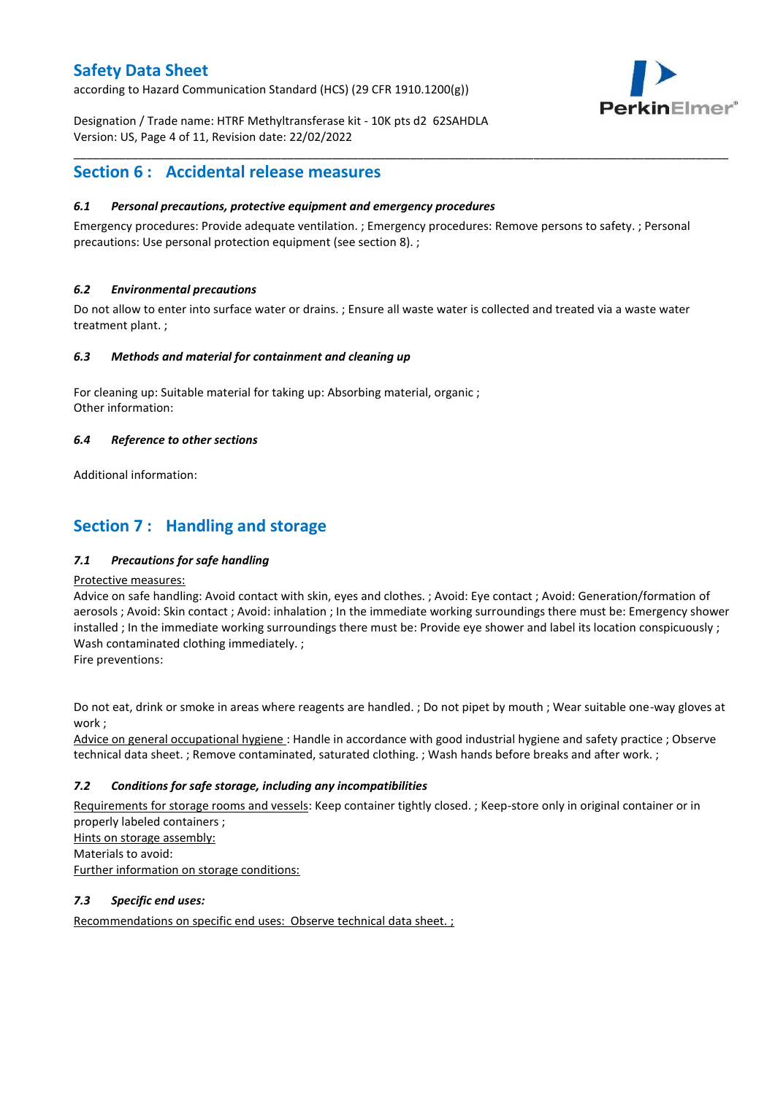according to Hazard Communication Standard (HCS) (29 CFR 1910.1200(g))



Designation / Trade name: HTRF Methyltransferase kit - 10K pts d2 62SAHDLA Version: US, Page 4 of 11, Revision date: 22/02/2022

# **Section 6 : Accidental release measures**

### *6.1 Personal precautions, protective equipment and emergency procedures*

Emergency procedures: Provide adequate ventilation. ; Emergency procedures: Remove persons to safety. ; Personal precautions: Use personal protection equipment (see section 8). ;

\_\_\_\_\_\_\_\_\_\_\_\_\_\_\_\_\_\_\_\_\_\_\_\_\_\_\_\_\_\_\_\_\_\_\_\_\_\_\_\_\_\_\_\_\_\_\_\_\_\_\_\_\_\_\_\_\_\_\_\_\_\_\_\_\_\_\_\_\_\_\_\_\_\_\_\_\_\_\_\_\_\_\_\_\_\_\_\_\_\_\_\_\_\_\_\_\_\_\_\_\_

### *6.2 Environmental precautions*

Do not allow to enter into surface water or drains. ; Ensure all waste water is collected and treated via a waste water treatment plant. ;

#### *6.3 Methods and material for containment and cleaning up*

For cleaning up: Suitable material for taking up: Absorbing material, organic ; Other information:

### *6.4 Reference to other sections*

Additional information:

# **Section 7 : Handling and storage**

### *7.1 Precautions for safe handling*

#### Protective measures:

Advice on safe handling: Avoid contact with skin, eyes and clothes. ; Avoid: Eye contact ; Avoid: Generation/formation of aerosols ; Avoid: Skin contact ; Avoid: inhalation ; In the immediate working surroundings there must be: Emergency shower installed ; In the immediate working surroundings there must be: Provide eye shower and label its location conspicuously ; Wash contaminated clothing immediately. ;

Fire preventions:

Do not eat, drink or smoke in areas where reagents are handled. ; Do not pipet by mouth ; Wear suitable one-way gloves at work ;

Advice on general occupational hygiene : Handle in accordance with good industrial hygiene and safety practice ; Observe technical data sheet. ; Remove contaminated, saturated clothing. ; Wash hands before breaks and after work. ;

### *7.2 Conditions for safe storage, including any incompatibilities*

Requirements for storage rooms and vessels: Keep container tightly closed. ; Keep-store only in original container or in properly labeled containers ; Hints on storage assembly: Materials to avoid:

Further information on storage conditions:

### *7.3 Specific end uses:*

Recommendations on specific end uses: Observe technical data sheet. ;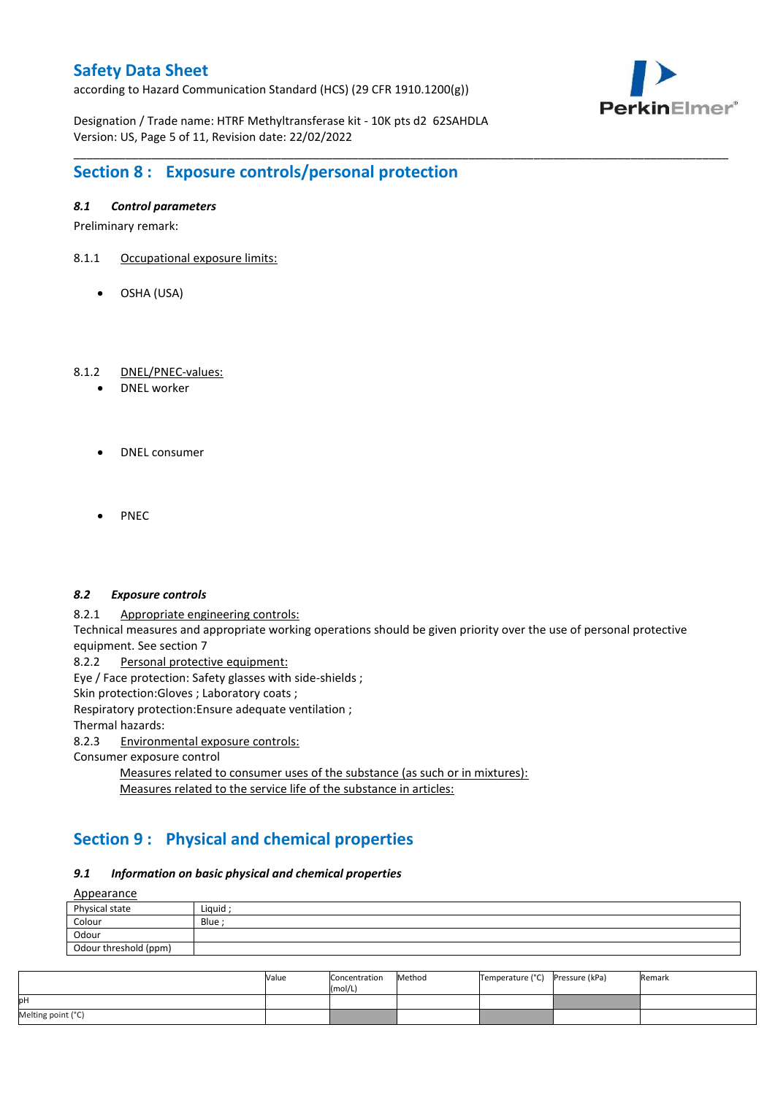according to Hazard Communication Standard (HCS) (29 CFR 1910.1200(g))



Designation / Trade name: HTRF Methyltransferase kit - 10K pts d2 62SAHDLA Version: US, Page 5 of 11, Revision date: 22/02/2022

# **Section 8 : Exposure controls/personal protection**

### *8.1 Control parameters*

Preliminary remark:

- 8.1.1 Occupational exposure limits:
	- OSHA (USA)

### 8.1.2 DNEL/PNEC-values:

- DNEL worker
- DNEL consumer
- PNEC

#### *8.2 Exposure controls*

8.2.1 Appropriate engineering controls:

Technical measures and appropriate working operations should be given priority over the use of personal protective equipment. See section 7

\_\_\_\_\_\_\_\_\_\_\_\_\_\_\_\_\_\_\_\_\_\_\_\_\_\_\_\_\_\_\_\_\_\_\_\_\_\_\_\_\_\_\_\_\_\_\_\_\_\_\_\_\_\_\_\_\_\_\_\_\_\_\_\_\_\_\_\_\_\_\_\_\_\_\_\_\_\_\_\_\_\_\_\_\_\_\_\_\_\_\_\_\_\_\_\_\_\_\_\_\_

8.2.2 Personal protective equipment:

Eye / Face protection: Safety glasses with side-shields ;

Skin protection: Gloves ; Laboratory coats ;

Respiratory protection:Ensure adequate ventilation ;

Thermal hazards:

8.2.3 Environmental exposure controls:

Consumer exposure control

Measures related to consumer uses of the substance (as such or in mixtures): Measures related to the service life of the substance in articles:

# **Section 9 : Physical and chemical properties**

#### *9.1 Information on basic physical and chemical properties*

**A**ppearance

| <u>repearance</u>     |        |
|-----------------------|--------|
| Physical state        | Liquid |
| Colour                | Blue ; |
| Odour                 |        |
| Odour threshold (ppm) |        |

|                    | Value | Concentration<br>(mol/L) | Method | Temperature (°C) Pressure (kPa) | Remark |
|--------------------|-------|--------------------------|--------|---------------------------------|--------|
| pН                 |       |                          |        |                                 |        |
| Melting point (°C) |       |                          |        |                                 |        |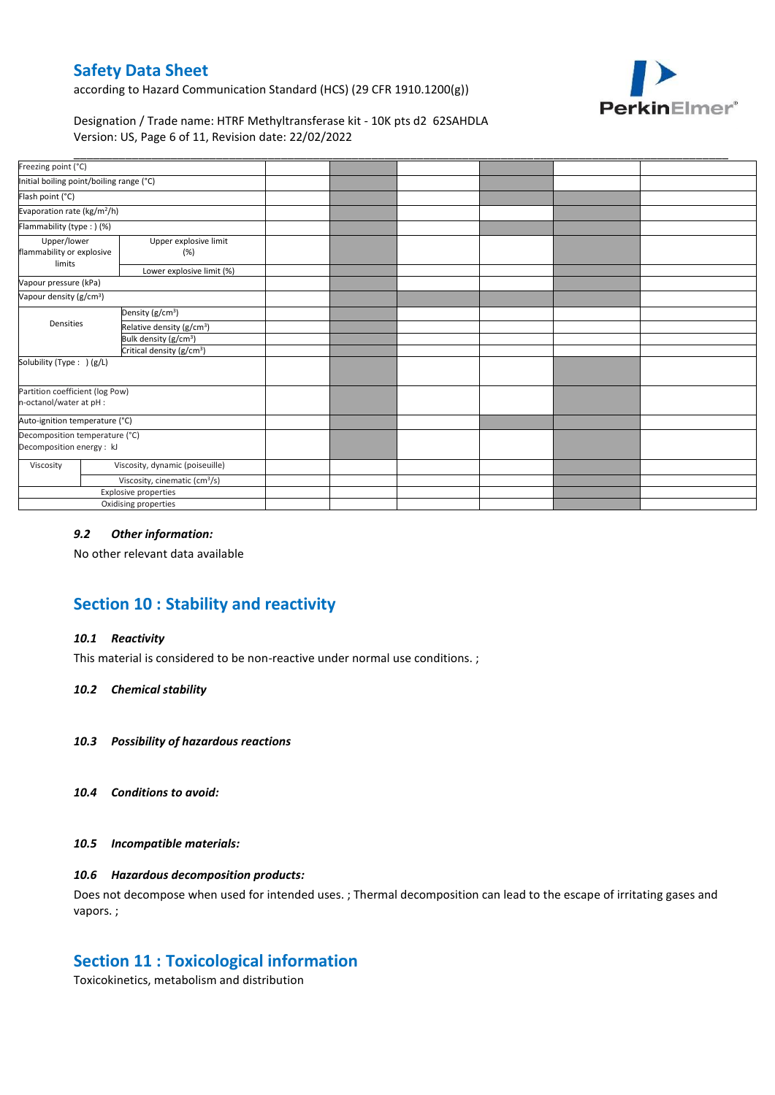according to Hazard Communication Standard (HCS) (29 CFR 1910.1200(g))



### Designation / Trade name: HTRF Methyltransferase kit - 10K pts d2 62SAHDLA Version: US, Page 6 of 11, Revision date: 22/02/2022

| Freezing point (°C)                                         |                                           |  |  |  |
|-------------------------------------------------------------|-------------------------------------------|--|--|--|
| Initial boiling point/boiling range (°C)                    |                                           |  |  |  |
| Flash point (°C)                                            |                                           |  |  |  |
| Evaporation rate (kg/m <sup>2</sup> /h)                     |                                           |  |  |  |
| Flammability (type:) (%)                                    |                                           |  |  |  |
| Upper/lower<br>flammability or explosive<br>limits          | Upper explosive limit<br>(%)              |  |  |  |
| Lower explosive limit (%)<br>Vapour pressure (kPa)          |                                           |  |  |  |
| Vapour density (g/cm <sup>3</sup> )                         |                                           |  |  |  |
| Densities                                                   | Density (g/cm <sup>3</sup> )              |  |  |  |
|                                                             | Relative density (g/cm <sup>3</sup> )     |  |  |  |
|                                                             | Bulk density (g/cm <sup>3</sup> )         |  |  |  |
| Critical density (g/cm <sup>3</sup> )                       |                                           |  |  |  |
| Solubility (Type: ) (g/L)                                   |                                           |  |  |  |
| Partition coefficient (log Pow)<br>n-octanol/water at pH :  |                                           |  |  |  |
| Auto-ignition temperature (°C)                              |                                           |  |  |  |
| Decomposition temperature (°C)<br>Decomposition energy : kJ |                                           |  |  |  |
| Viscosity                                                   | Viscosity, dynamic (poiseuille)           |  |  |  |
|                                                             | Viscosity, cinematic (cm <sup>3</sup> /s) |  |  |  |
|                                                             | <b>Explosive properties</b>               |  |  |  |
|                                                             | Oxidising properties                      |  |  |  |

### *9.2 Other information:*

No other relevant data available

# **Section 10 : Stability and reactivity**

#### *10.1 Reactivity*

This material is considered to be non-reactive under normal use conditions. ;

#### *10.2 Chemical stability*

- *10.3 Possibility of hazardous reactions*
- *10.4 Conditions to avoid:*

#### *10.5 Incompatible materials:*

### *10.6 Hazardous decomposition products:*

Does not decompose when used for intended uses. ; Thermal decomposition can lead to the escape of irritating gases and vapors. ;

## **Section 11 : Toxicological information**

Toxicokinetics, metabolism and distribution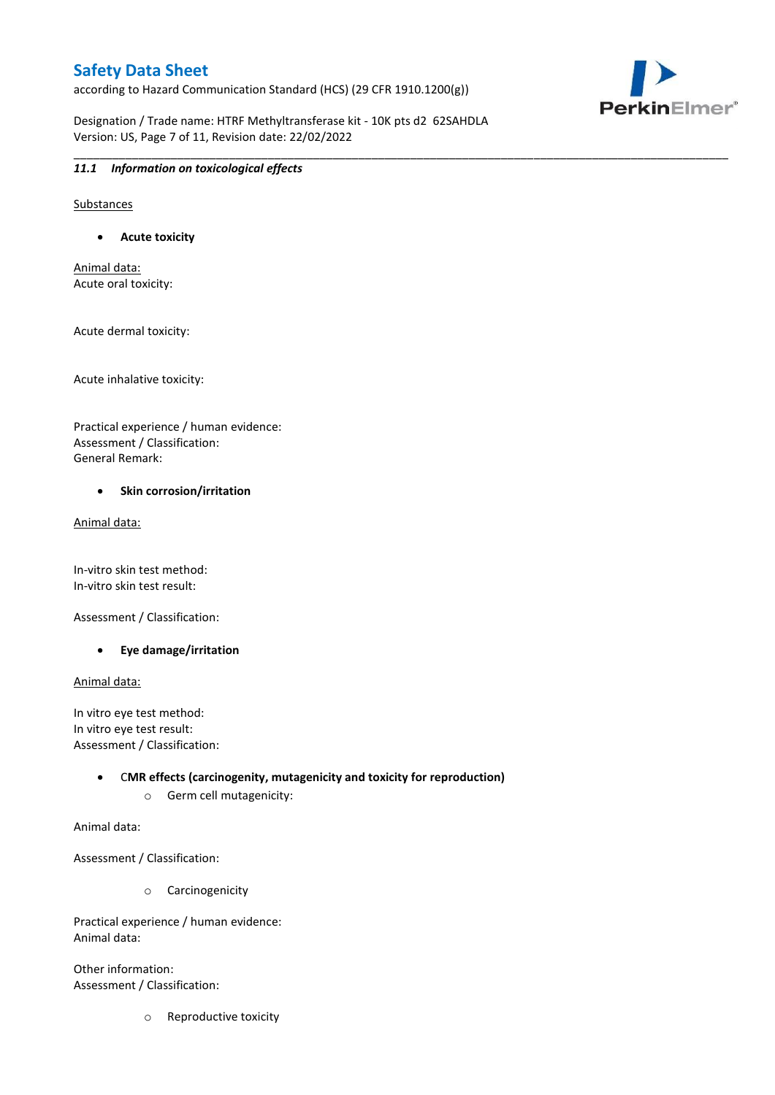according to Hazard Communication Standard (HCS) (29 CFR 1910.1200(g))

PerkinElmer®

Designation / Trade name: HTRF Methyltransferase kit - 10K pts d2 62SAHDLA Version: US, Page 7 of 11, Revision date: 22/02/2022

\_\_\_\_\_\_\_\_\_\_\_\_\_\_\_\_\_\_\_\_\_\_\_\_\_\_\_\_\_\_\_\_\_\_\_\_\_\_\_\_\_\_\_\_\_\_\_\_\_\_\_\_\_\_\_\_\_\_\_\_\_\_\_\_\_\_\_\_\_\_\_\_\_\_\_\_\_\_\_\_\_\_\_\_\_\_\_\_\_\_\_\_\_\_\_\_\_\_\_\_\_

### *11.1 Information on toxicological effects*

Substances

**Acute toxicity**

Animal data: Acute oral toxicity:

Acute dermal toxicity:

Acute inhalative toxicity:

Practical experience / human evidence: Assessment / Classification: General Remark:

#### **•** Skin corrosion/irritation

Animal data:

In-vitro skin test method: In-vitro skin test result:

Assessment / Classification:

**Eye damage/irritation**

Animal data:

In vitro eye test method: In vitro eye test result: Assessment / Classification:

> C**MR effects (carcinogenity, mutagenicity and toxicity for reproduction)** o Germ cell mutagenicity:

Animal data:

Assessment / Classification:

o Carcinogenicity

Practical experience / human evidence: Animal data:

Other information: Assessment / Classification:

o Reproductive toxicity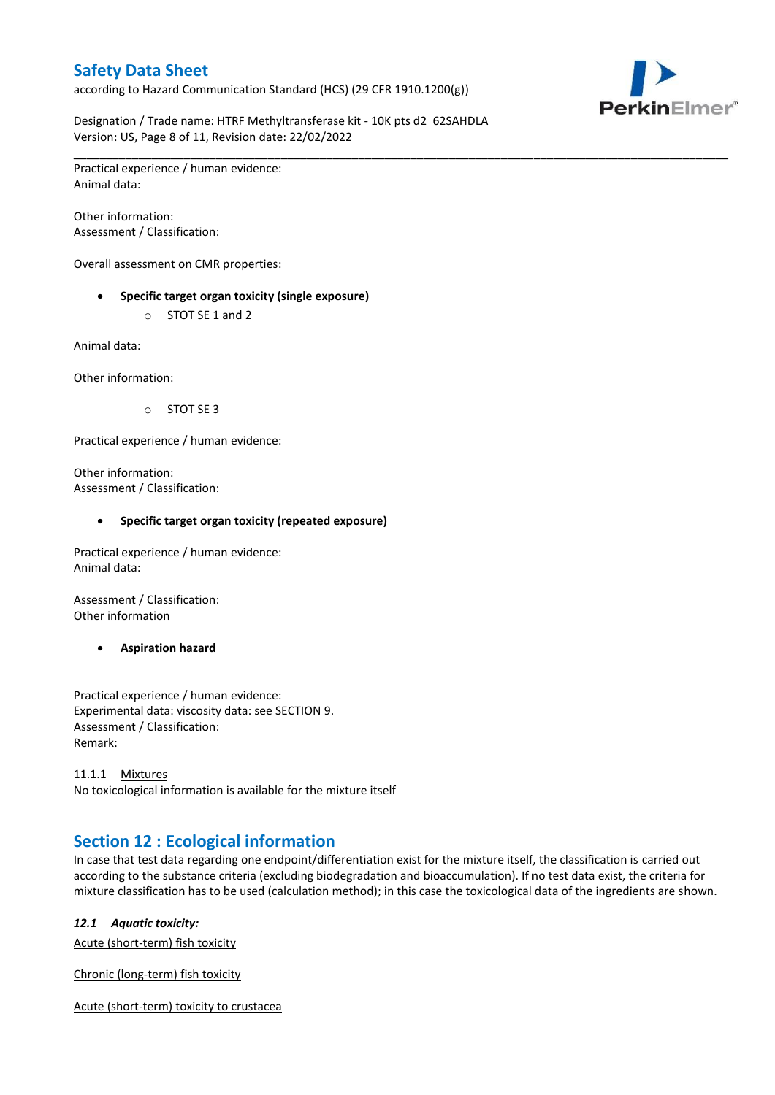according to Hazard Communication Standard (HCS) (29 CFR 1910.1200(g))



Designation / Trade name: HTRF Methyltransferase kit - 10K pts d2 62SAHDLA Version: US, Page 8 of 11, Revision date: 22/02/2022

\_\_\_\_\_\_\_\_\_\_\_\_\_\_\_\_\_\_\_\_\_\_\_\_\_\_\_\_\_\_\_\_\_\_\_\_\_\_\_\_\_\_\_\_\_\_\_\_\_\_\_\_\_\_\_\_\_\_\_\_\_\_\_\_\_\_\_\_\_\_\_\_\_\_\_\_\_\_\_\_\_\_\_\_\_\_\_\_\_\_\_\_\_\_\_\_\_\_\_\_\_ Practical experience / human evidence: Animal data:

Other information: Assessment / Classification:

Overall assessment on CMR properties:

- **Specific target organ toxicity (single exposure)**
	- o STOT SE 1 and 2

Animal data:

Other information:

o STOT SE 3

Practical experience / human evidence:

Other information: Assessment / Classification:

#### **Specific target organ toxicity (repeated exposure)**

Practical experience / human evidence: Animal data:

Assessment / Classification: Other information

**Aspiration hazard**

Practical experience / human evidence: Experimental data: viscosity data: see SECTION 9. Assessment / Classification: Remark:

11.1.1 Mixtures No toxicological information is available for the mixture itself

# **Section 12 : Ecological information**

In case that test data regarding one endpoint/differentiation exist for the mixture itself, the classification is carried out according to the substance criteria (excluding biodegradation and bioaccumulation). If no test data exist, the criteria for mixture classification has to be used (calculation method); in this case the toxicological data of the ingredients are shown.

#### *12.1 Aquatic toxicity:*

Acute (short-term) fish toxicity

Chronic (long-term) fish toxicity

Acute (short-term) toxicity to crustacea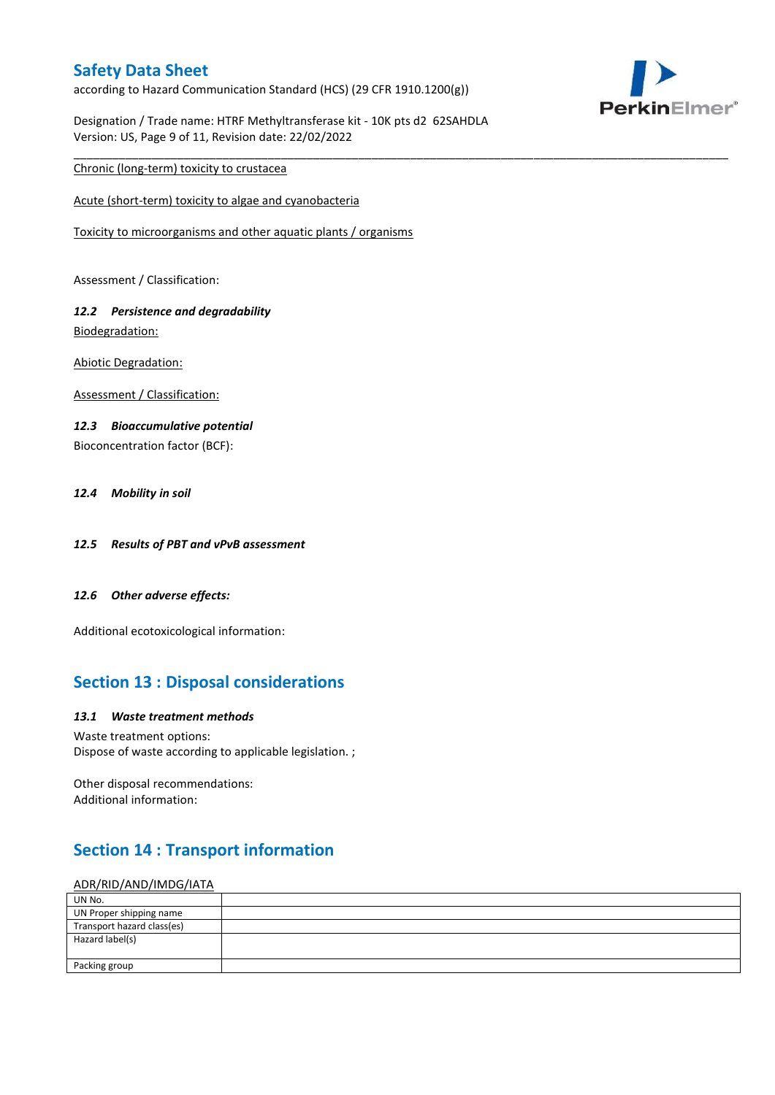according to Hazard Communication Standard (HCS) (29 CFR 1910.1200(g))

Designation / Trade name: HTRF Methyltransferase kit - 10K pts d2 62SAHDLA Version: US, Page 9 of 11, Revision date: 22/02/2022

\_\_\_\_\_\_\_\_\_\_\_\_\_\_\_\_\_\_\_\_\_\_\_\_\_\_\_\_\_\_\_\_\_\_\_\_\_\_\_\_\_\_\_\_\_\_\_\_\_\_\_\_\_\_\_\_\_\_\_\_\_\_\_\_\_\_\_\_\_\_\_\_\_\_\_\_\_\_\_\_\_\_\_\_\_\_\_\_\_\_\_\_\_\_\_\_\_\_\_\_\_ Chronic (long-term) toxicity to crustacea

Acute (short-term) toxicity to algae and cyanobacteria

Toxicity to microorganisms and other aquatic plants / organisms

Assessment / Classification:

## *12.2 Persistence and degradability* Biodegradation:

Abiotic Degradation:

Assessment / Classification:

### *12.3 Bioaccumulative potential*

Bioconcentration factor (BCF):

### *12.4 Mobility in soil*

- *12.5 Results of PBT and vPvB assessment*
- *12.6 Other adverse effects:*

Additional ecotoxicological information:

# **Section 13 : Disposal considerations**

#### *13.1 Waste treatment methods*

Waste treatment options: Dispose of waste according to applicable legislation. ;

Other disposal recommendations: Additional information:

# **Section 14 : Transport information**

#### ADR/RID/AND/IMDG/IATA

| UN No.                     |  |
|----------------------------|--|
| UN Proper shipping name    |  |
| Transport hazard class(es) |  |
| Hazard label(s)            |  |
|                            |  |
| Packing group              |  |

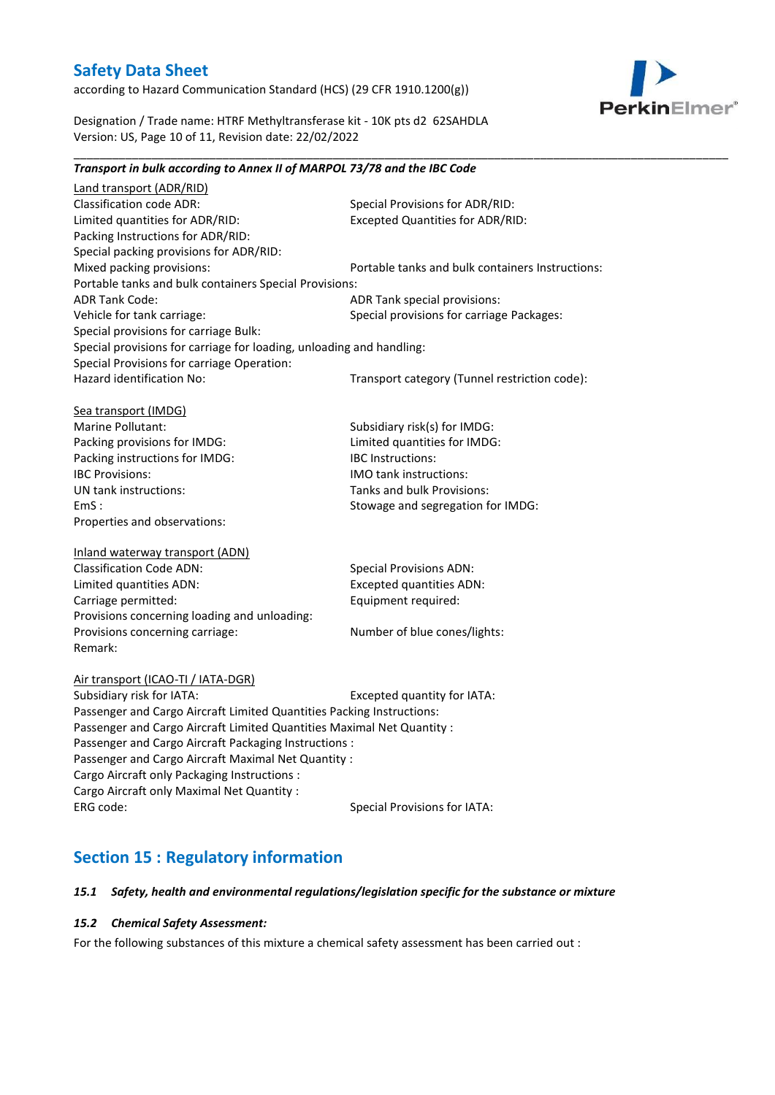Packing Instructions for ADR/RID:

according to Hazard Communication Standard (HCS) (29 CFR 1910.1200(g))



Designation / Trade name: HTRF Methyltransferase kit - 10K pts d2 62SAHDLA Version: US, Page 10 of 11, Revision date: 22/02/2022

*Transport in bulk according to Annex II of MARPOL 73/78 and the IBC Code*

## Land transport (ADR/RID) Classification code ADR: Special Provisions for ADR/RID:<br>
Limited quantities for ADR/RID: Excepted Quantities for ADR/RI Excepted Quantities for ADR/RID:

Special packing provisions for ADR/RID: Mixed packing provisions: Portable tanks and bulk containers Instructions: Portable tanks and bulk containers Special Provisions: ADR Tank Code: ADR Tank special provisions: Vehicle for tank carriage:  $S$  Special provisions for carriage Packages: Special provisions for carriage Bulk: Special provisions for carriage for loading, unloading and handling: Special Provisions for carriage Operation: Hazard identification No: Transport category (Tunnel restriction code):

\_\_\_\_\_\_\_\_\_\_\_\_\_\_\_\_\_\_\_\_\_\_\_\_\_\_\_\_\_\_\_\_\_\_\_\_\_\_\_\_\_\_\_\_\_\_\_\_\_\_\_\_\_\_\_\_\_\_\_\_\_\_\_\_\_\_\_\_\_\_\_\_\_\_\_\_\_\_\_\_\_\_\_\_\_\_\_\_\_\_\_\_\_\_\_\_\_\_\_\_\_

Sea transport (IMDG) Marine Pollutant: Subsidiary risk(s) for IMDG: Packing provisions for IMDG: Limited quantities for IMDG: Packing instructions for IMDG: IBC Instructions: IBC Provisions: IMO tank instructions: UN tank instructions: Tanks and bulk Provisions: EmS : Stowage and segregation for IMDG: Properties and observations:

### Inland waterway transport (ADN) Classification Code ADN: Special Provisions ADN: Limited quantities ADN: Excepted quantities ADN: Carriage permitted: Carriage permitted: Provisions concerning loading and unloading: Provisions concerning carriage: Number of blue cones/lights: Remark:

Air transport (ICAO-TI / IATA-DGR) Subsidiary risk for IATA: Excepted quantity for IATA:

Passenger and Cargo Aircraft Limited Quantities Packing Instructions: Passenger and Cargo Aircraft Limited Quantities Maximal Net Quantity : Passenger and Cargo Aircraft Packaging Instructions : Passenger and Cargo Aircraft Maximal Net Quantity : Cargo Aircraft only Packaging Instructions : Cargo Aircraft only Maximal Net Quantity : ERG code: Special Provisions for IATA:

# **Section 15 : Regulatory information**

### *15.1 Safety, health and environmental regulations/legislation specific for the substance or mixture*

### *15.2 Chemical Safety Assessment:*

For the following substances of this mixture a chemical safety assessment has been carried out :